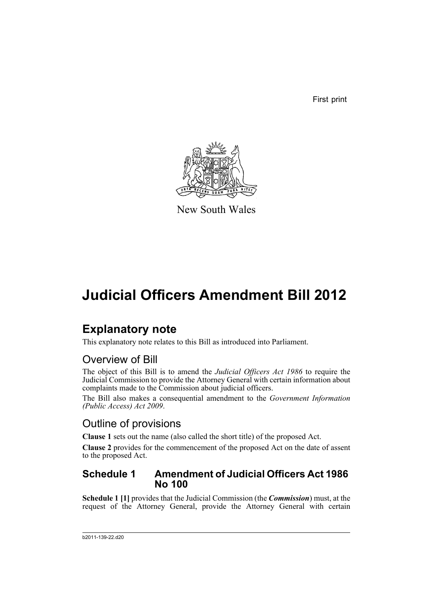First print



New South Wales

# **Judicial Officers Amendment Bill 2012**

## **Explanatory note**

This explanatory note relates to this Bill as introduced into Parliament.

### Overview of Bill

The object of this Bill is to amend the *Judicial Officers Act 1986* to require the Judicial Commission to provide the Attorney General with certain information about complaints made to the Commission about judicial officers.

The Bill also makes a consequential amendment to the *Government Information (Public Access) Act 2009*.

### Outline of provisions

**Clause 1** sets out the name (also called the short title) of the proposed Act.

**Clause 2** provides for the commencement of the proposed Act on the date of assent to the proposed Act.

### **Schedule 1 Amendment of Judicial Officers Act 1986 No 100**

**Schedule 1 [1]** provides that the Judicial Commission (the *Commission*) must, at the request of the Attorney General, provide the Attorney General with certain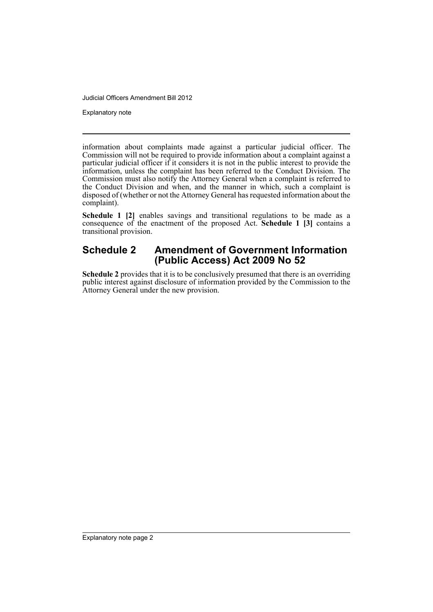Explanatory note

information about complaints made against a particular judicial officer. The Commission will not be required to provide information about a complaint against a particular judicial officer if it considers it is not in the public interest to provide the information, unless the complaint has been referred to the Conduct Division. The Commission must also notify the Attorney General when a complaint is referred to the Conduct Division and when, and the manner in which, such a complaint is disposed of (whether or not the Attorney General has requested information about the complaint).

Schedule 1 [2] enables savings and transitional regulations to be made as a consequence of the enactment of the proposed Act. **Schedule 1 [3]** contains a transitional provision.

### **Schedule 2 Amendment of Government Information (Public Access) Act 2009 No 52**

**Schedule 2** provides that it is to be conclusively presumed that there is an overriding public interest against disclosure of information provided by the Commission to the Attorney General under the new provision.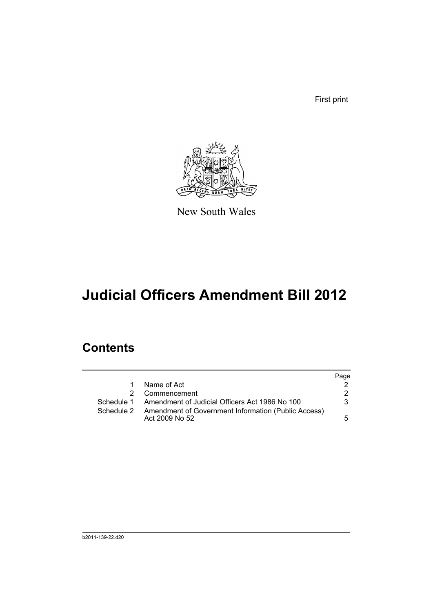First print



New South Wales

# **Judicial Officers Amendment Bill 2012**

## **Contents**

|            |                                                                              | Page |
|------------|------------------------------------------------------------------------------|------|
| 1.         | Name of Act                                                                  |      |
|            | Commencement                                                                 | 2.   |
| Schedule 1 | Amendment of Judicial Officers Act 1986 No 100                               | 3    |
| Schedule 2 | <b>Amendment of Government Information (Public Access)</b><br>Act 2009 No 52 | 5    |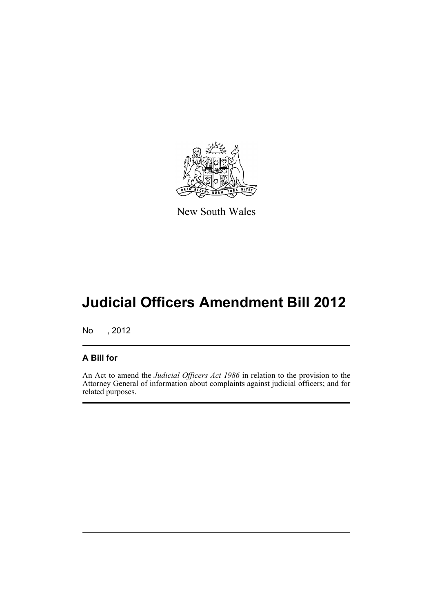

New South Wales

# **Judicial Officers Amendment Bill 2012**

No , 2012

### **A Bill for**

An Act to amend the *Judicial Officers Act 1986* in relation to the provision to the Attorney General of information about complaints against judicial officers; and for related purposes.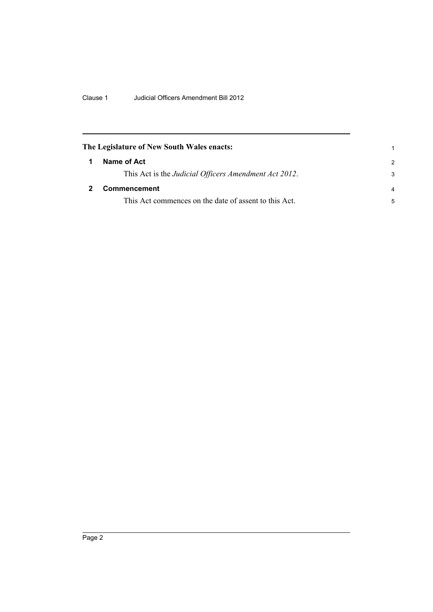<span id="page-5-1"></span><span id="page-5-0"></span>

| The Legislature of New South Wales enacts:            |                |
|-------------------------------------------------------|----------------|
| Name of Act                                           | $\mathcal{P}$  |
| This Act is the Judicial Officers Amendment Act 2012. | 3              |
| Commencement                                          | $\overline{a}$ |
| This Act commences on the date of assent to this Act. | 5              |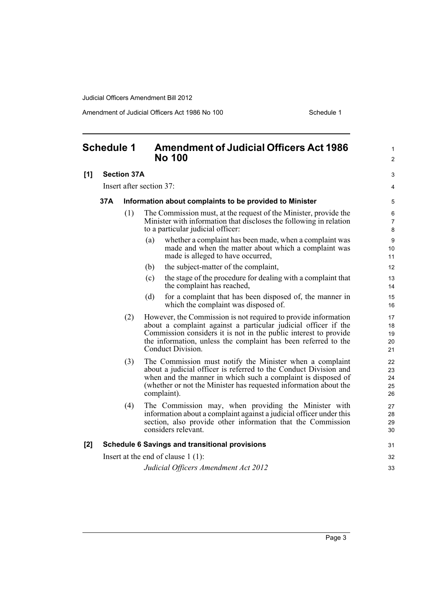Amendment of Judicial Officers Act 1986 No 100 Schedule 1

<span id="page-6-0"></span>

| <b>Schedule 1</b> |                                                       |                    | <b>Amendment of Judicial Officers Act 1986</b><br><b>No 100</b>                                                                                                                                                                                                                             |                            |
|-------------------|-------------------------------------------------------|--------------------|---------------------------------------------------------------------------------------------------------------------------------------------------------------------------------------------------------------------------------------------------------------------------------------------|----------------------------|
| [1]               |                                                       | <b>Section 37A</b> |                                                                                                                                                                                                                                                                                             | 3                          |
|                   | Insert after section 37:                              |                    |                                                                                                                                                                                                                                                                                             | 4                          |
|                   | 37A                                                   |                    | Information about complaints to be provided to Minister                                                                                                                                                                                                                                     | 5                          |
|                   |                                                       | (1)                | The Commission must, at the request of the Minister, provide the<br>Minister with information that discloses the following in relation<br>to a particular judicial officer:                                                                                                                 | 6<br>$\overline{7}$<br>8   |
|                   |                                                       |                    | whether a complaint has been made, when a complaint was<br>(a)<br>made and when the matter about which a complaint was<br>made is alleged to have occurred,                                                                                                                                 | 9<br>10<br>11              |
|                   |                                                       |                    | the subject-matter of the complaint,<br>(b)                                                                                                                                                                                                                                                 | 12                         |
|                   |                                                       |                    | (c)<br>the stage of the procedure for dealing with a complaint that<br>the complaint has reached,                                                                                                                                                                                           | 13<br>14                   |
|                   |                                                       |                    | for a complaint that has been disposed of, the manner in<br>(d)<br>which the complaint was disposed of.                                                                                                                                                                                     | 15<br>16                   |
|                   |                                                       | (2)                | However, the Commission is not required to provide information<br>about a complaint against a particular judicial officer if the<br>Commission considers it is not in the public interest to provide<br>the information, unless the complaint has been referred to the<br>Conduct Division. | 17<br>18<br>19<br>20<br>21 |
|                   |                                                       | (3)                | The Commission must notify the Minister when a complaint<br>about a judicial officer is referred to the Conduct Division and<br>when and the manner in which such a complaint is disposed of<br>(whether or not the Minister has requested information about the<br>complaint).             | 22<br>23<br>24<br>25<br>26 |
|                   |                                                       | (4)                | The Commission may, when providing the Minister with<br>information about a complaint against a judicial officer under this<br>section, also provide other information that the Commission<br>considers relevant.                                                                           | 27<br>28<br>29<br>30       |
| [2]               | <b>Schedule 6 Savings and transitional provisions</b> |                    |                                                                                                                                                                                                                                                                                             | 31                         |
|                   |                                                       |                    | Insert at the end of clause $1(1)$ :                                                                                                                                                                                                                                                        | 32                         |
|                   |                                                       |                    | Judicial Officers Amendment Act 2012                                                                                                                                                                                                                                                        | 33                         |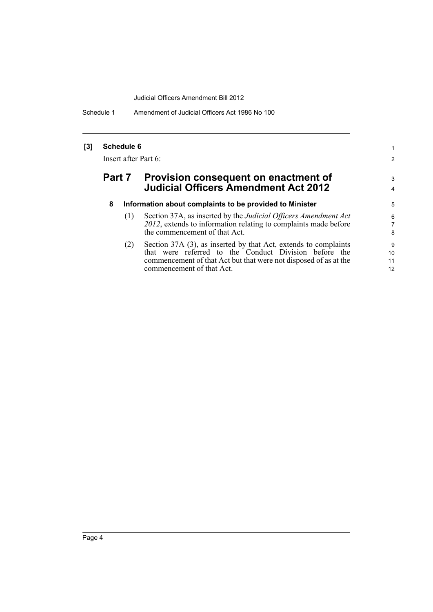Schedule 1 Amendment of Judicial Officers Act 1986 No 100

#### **[3] Schedule 6**

Insert after Part 6:

### **Part 7 Provision consequent on enactment of Judicial Officers Amendment Act 2012**

| 8 | Information about complaints to be provided to Minister |  |  |  |  |  |
|---|---------------------------------------------------------|--|--|--|--|--|
|---|---------------------------------------------------------|--|--|--|--|--|

(1) Section 37A, as inserted by the *Judicial Officers Amendment Act 2012*, extends to information relating to complaints made before the commencement of that Act.

1 2

3 4

(2) Section 37A (3), as inserted by that Act, extends to complaints that were referred to the Conduct Division before the commencement of that Act but that were not disposed of as at the commencement of that Act.